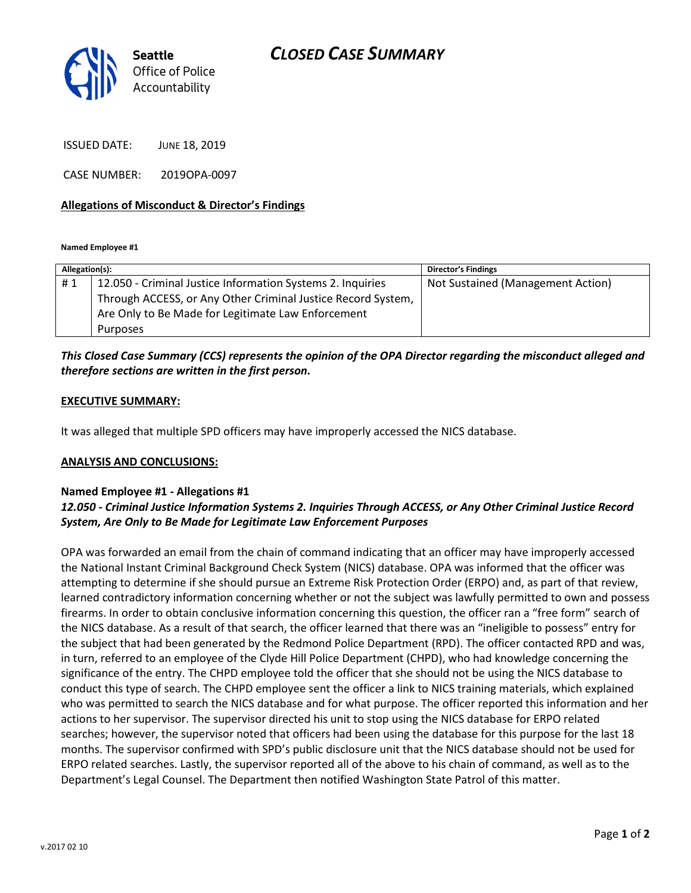

ISSUED DATE: JUNE 18, 2019

CASE NUMBER: 2019OPA-0097

## Allegations of Misconduct & Director's Findings

Named Employee #1

| Allegation(s): |                                                              | <b>Director's Findings</b>        |
|----------------|--------------------------------------------------------------|-----------------------------------|
| #1             | 12.050 - Criminal Justice Information Systems 2. Inquiries   | Not Sustained (Management Action) |
|                | Through ACCESS, or Any Other Criminal Justice Record System, |                                   |
|                | Are Only to Be Made for Legitimate Law Enforcement           |                                   |
|                | Purposes                                                     |                                   |

# This Closed Case Summary (CCS) represents the opinion of the OPA Director regarding the misconduct alleged and therefore sections are written in the first person.

### EXECUTIVE SUMMARY:

It was alleged that multiple SPD officers may have improperly accessed the NICS database.

### ANALYSIS AND CONCLUSIONS:

### Named Employee #1 - Allegations #1

# 12.050 - Criminal Justice Information Systems 2. Inquiries Through ACCESS, or Any Other Criminal Justice Record System, Are Only to Be Made for Legitimate Law Enforcement Purposes

OPA was forwarded an email from the chain of command indicating that an officer may have improperly accessed the National Instant Criminal Background Check System (NICS) database. OPA was informed that the officer was attempting to determine if she should pursue an Extreme Risk Protection Order (ERPO) and, as part of that review, learned contradictory information concerning whether or not the subject was lawfully permitted to own and possess firearms. In order to obtain conclusive information concerning this question, the officer ran a "free form" search of the NICS database. As a result of that search, the officer learned that there was an "ineligible to possess" entry for the subject that had been generated by the Redmond Police Department (RPD). The officer contacted RPD and was, in turn, referred to an employee of the Clyde Hill Police Department (CHPD), who had knowledge concerning the significance of the entry. The CHPD employee told the officer that she should not be using the NICS database to conduct this type of search. The CHPD employee sent the officer a link to NICS training materials, which explained who was permitted to search the NICS database and for what purpose. The officer reported this information and her actions to her supervisor. The supervisor directed his unit to stop using the NICS database for ERPO related searches; however, the supervisor noted that officers had been using the database for this purpose for the last 18 months. The supervisor confirmed with SPD's public disclosure unit that the NICS database should not be used for ERPO related searches. Lastly, the supervisor reported all of the above to his chain of command, as well as to the Department's Legal Counsel. The Department then notified Washington State Patrol of this matter.